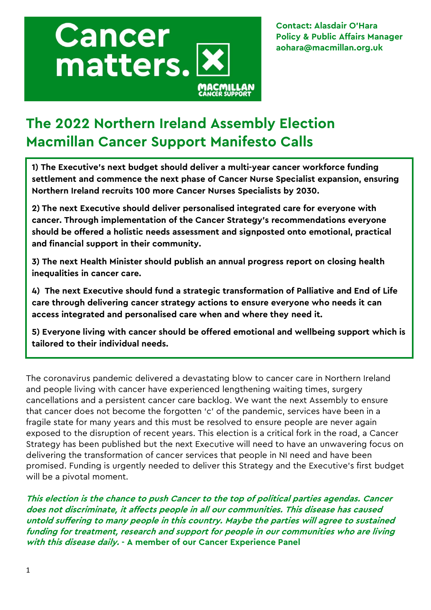

**Contact: Alasdair O'Hara Policy & Public Affairs Manager aohara@macmillan.org.uk**

# **The 2022 Northern Ireland Assembly Election Macmillan Cancer Support Manifesto Calls**

**1) The Executive's next budget should deliver a multi-year cancer workforce funding settlement and commence the next phase of Cancer Nurse Specialist expansion, ensuring Northern Ireland recruits 100 more Cancer Nurses Specialists by 2030.**

**2) The next Executive should deliver personalised integrated care for everyone with cancer. Through implementation of the Cancer Strategy's recommendations everyone should be offered a holistic needs assessment and signposted onto emotional, practical and financial support in their community.**

**3) The next Health Minister should publish an annual progress report on closing health inequalities in cancer care.**

**4) The next Executive should fund a strategic transformation of Palliative and End of Life care through delivering cancer strategy actions to ensure everyone who needs it can access integrated and personalised care when and where they need it.**

**5) Everyone living with cancer should be offered emotional and wellbeing support which is tailored to their individual needs.** 

The coronavirus pandemic delivered a devastating blow to cancer care in Northern Ireland and people living with cancer have experienced lengthening waiting times, surgery cancellations and a persistent cancer care backlog. We want the next Assembly to ensure that cancer does not become the forgotten 'c' of the pandemic, services have been in a fragile state for many years and this must be resolved to ensure people are never again exposed to the disruption of recent years. This election is a critical fork in the road, a Cancer Strategy has been published but the next Executive will need to have an unwavering focus on delivering the transformation of cancer services that people in NI need and have been promised. Funding is urgently needed to deliver this Strategy and the Executive's first budget will be a pivotal moment.

**This election is the chance to push Cancer to the top of political parties agendas. Cancer does not discriminate, it affects people in all our communities. This disease has caused untold suffering to many people in this country. Maybe the parties will agree to sustained funding for treatment, research and support for people in our communities who are living with this disease daily. - A member of our Cancer Experience Panel**

 $\overline{a}$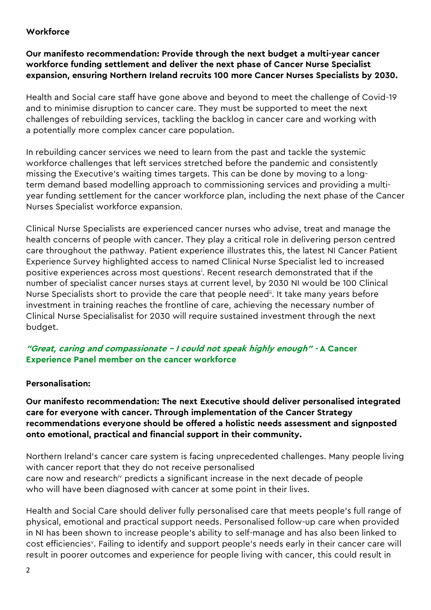## **Workforce**

## **Our manifesto recommendation: Provide through the next budget a multi-year cancer workforce funding settlement and deliver the next phase of Cancer Nurse Specialist expansion, ensuring Northern Ireland recruits 100 more Cancer Nurses Specialists by 2030.**

Health and Social care staff have gone above and beyond to meet the challenge of Covid-19 and to minimise disruption to cancer care. They must be supported to meet the next challenges of rebuilding services, tackling the backlog in cancer care and working with a potentially more complex cancer care population.

In rebuilding cancer services we need to learn from the past and tackle the systemic workforce challenges that left services stretched before the pandemic and consistently missing the Executive's waiting times targets. This can be done by moving to a longterm demand based modelling approach to commissioning services and providing a multiyear funding settlement for the cancer workforce plan, including the next phase of the Cancer Nurses Specialist workforce expansion.

Clinical Nurse Specialists are experienced cancer nurses who advise, treat and manage the health concerns of people with cancer. They play a critical role in delivering person centred care throughout the pathway. Patient experience illustrates this, the latest NI Cancer Patient Experience Survey highlighted access to named Clinical Nurse Specialist led to increased positive experiences across most questions<sup>i</sup>. Recent research demonstrated that if the number of specialist cancer nurses stays at current level, by 2030 NI would be 100 Clinical Nurse Specialists short to provide the care that people need<sup>ii</sup>. It take many years before investment in training reaches the frontline of care, achieving the necessary number of Clinical Nurse Specialisalist for 2030 will require sustained investment through the next budget.

## **"Great, caring and compassionate – I could not speak highly enough" - A Cancer Experience Panel member on the cancer workforce**

## **Personalisation:**

**Our manifesto recommendation: The next Executive should deliver personalised integrated care for everyone with cancer. Through implementation of the Cancer Strategy recommendations everyone should be offered a holistic needs assessment and signposted onto emotional, practical and financial support in their community.** 

Northern Ireland's cancer care system is facing unprecedented challenges. Many people living with cancer report that they do not receive personalised care now and researchiv predicts a significant increase in the next decade of people who will have been diagnosed with cancer at some point in their lives.

Health and Social Care should deliver fully personalised care that meets people's full range of physical, emotional and practical support needs. Personalised follow-up care when provided in NI has been shown to increase people's ability to self-manage and has also been linked to cost efficiencies<sup>v</sup>. Failing to identify and support people's needs early in their cancer care will result in poorer outcomes and experience for people living with cancer, this could result in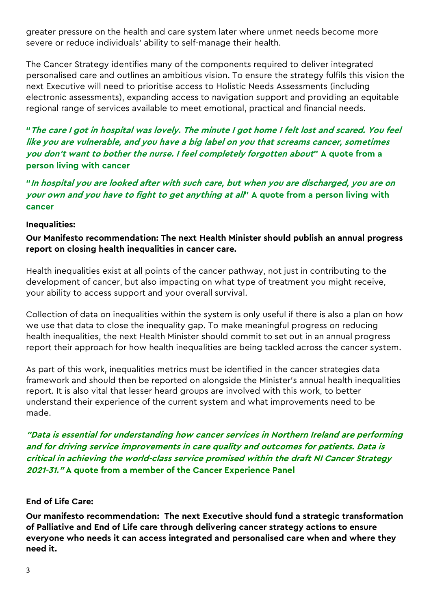greater pressure on the health and care system later where unmet needs become more severe or reduce individuals' ability to self-manage their health.

The Cancer Strategy identifies many of the components required to deliver integrated personalised care and outlines an ambitious vision. To ensure the strategy fulfils this vision the next Executive will need to prioritise access to Holistic Needs Assessments (including electronic assessments), expanding access to navigation support and providing an equitable regional range of services available to meet emotional, practical and financial needs.

**"The care I got in hospital was lovely. The minute I got home I felt lost and scared. You feel like you are vulnerable, and you have a big label on you that screams cancer, sometimes you don't want to bother the nurse. I feel completely forgotten about" A quote from a person living with cancer**

**"In hospital you are looked after with such care, but when you are discharged, you are on your own and you have to fight to get anything at all" A quote from a person living with cancer**

#### **Inequalities:**

**Our Manifesto recommendation: The next Health Minister should publish an annual progress report on closing health inequalities in cancer care.**

Health inequalities exist at all points of the cancer pathway, not just in contributing to the development of cancer, but also impacting on what type of treatment you might receive, your ability to access support and your overall survival.

Collection of data on inequalities within the system is only useful if there is also a plan on how we use that data to close the inequality gap. To make meaningful progress on reducing health inequalities, the next Health Minister should commit to set out in an annual progress report their approach for how health inequalities are being tackled across the cancer system.

As part of this work, inequalities metrics must be identified in the cancer strategies data framework and should then be reported on alongside the Minister's annual health inequalities report. It is also vital that lesser heard groups are involved with this work, to better understand their experience of the current system and what improvements need to be made.

**"Data is essential for understanding how cancer services in Northern Ireland are performing and for driving service improvements in care quality and outcomes for patients. Data is critical in achieving the world-class service promised within the draft NI Cancer Strategy 2021-31." A quote from a member of the Cancer Experience Panel**

#### **End of Life Care:**

**Our manifesto recommendation: The next Executive should fund a strategic transformation of Palliative and End of Life care through delivering cancer strategy actions to ensure everyone who needs it can access integrated and personalised care when and where they need it.**